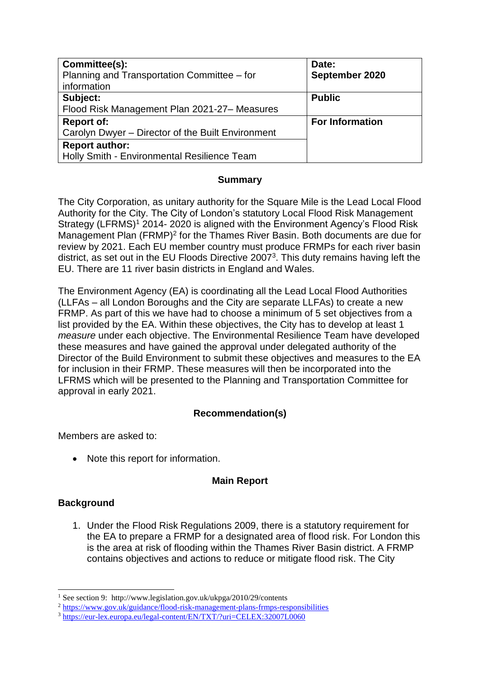| Committee(s):<br>Planning and Transportation Committee - for<br>information | Date:<br>September 2020 |
|-----------------------------------------------------------------------------|-------------------------|
| Subject:                                                                    | <b>Public</b>           |
| Flood Risk Management Plan 2021-27-Measures                                 |                         |
| <b>Report of:</b>                                                           | <b>For Information</b>  |
| Carolyn Dwyer - Director of the Built Environment                           |                         |
| <b>Report author:</b>                                                       |                         |
| Holly Smith - Environmental Resilience Team                                 |                         |

## **Summary**

The City Corporation, as unitary authority for the Square Mile is the Lead Local Flood Authority for the City. The City of London's statutory Local Flood Risk Management Strategy (LFRMS)<sup>1</sup> 2014-2020 is aligned with the Environment Agency's Flood Risk Management Plan (FRMP)<sup>2</sup> for the Thames River Basin. Both documents are due for review by 2021. Each EU member country must produce FRMPs for each river basin district, as set out in the EU Floods Directive  $2007<sup>3</sup>$ . This duty remains having left the EU. There are 11 river basin districts in England and Wales.

The Environment Agency (EA) is coordinating all the Lead Local Flood Authorities (LLFAs – all London Boroughs and the City are separate LLFAs) to create a new FRMP. As part of this we have had to choose a minimum of 5 set objectives from a list provided by the EA. Within these objectives, the City has to develop at least 1 *measure* under each objective. The Environmental Resilience Team have developed these measures and have gained the approval under delegated authority of the Director of the Build Environment to submit these objectives and measures to the EA for inclusion in their FRMP. These measures will then be incorporated into the LFRMS which will be presented to the Planning and Transportation Committee for approval in early 2021.

# **Recommendation(s)**

Members are asked to:

• Note this report for information.

# **Main Report**

# **Background**

-

1. Under the Flood Risk Regulations 2009, there is a statutory requirement for the EA to prepare a FRMP for a designated area of flood risk. For London this is the area at risk of flooding within the Thames River Basin district. A FRMP contains objectives and actions to reduce or mitigate flood risk. The City

<sup>&</sup>lt;sup>1</sup> See section 9: http://www.legislation.gov.uk/ukpga/2010/29/contents

<sup>&</sup>lt;sup>2</sup> <https://www.gov.uk/guidance/flood-risk-management-plans-frmps-responsibilities>

<sup>3</sup> <https://eur-lex.europa.eu/legal-content/EN/TXT/?uri=CELEX:32007L0060>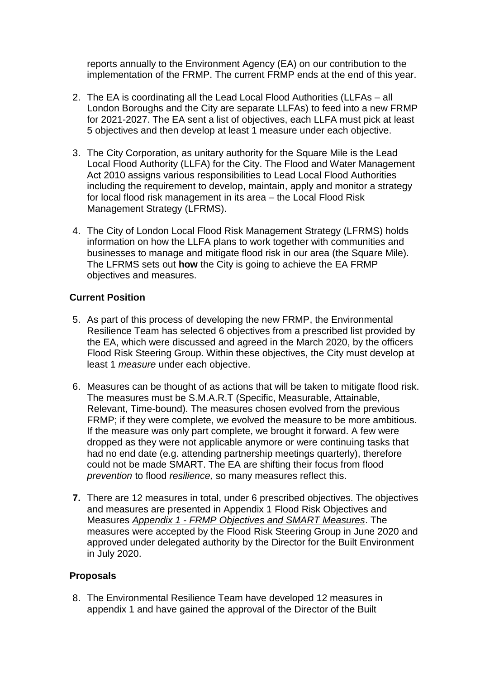reports annually to the Environment Agency (EA) on our contribution to the implementation of the FRMP. The current FRMP ends at the end of this year.

- 2. The EA is coordinating all the Lead Local Flood Authorities (LLFAs all London Boroughs and the City are separate LLFAs) to feed into a new FRMP for 2021-2027. The EA sent a list of objectives, each LLFA must pick at least 5 objectives and then develop at least 1 measure under each objective.
- 3. The City Corporation, as unitary authority for the Square Mile is the Lead Local Flood Authority (LLFA) for the City. The Flood and Water Management Act 2010 assigns various responsibilities to Lead Local Flood Authorities including the requirement to develop, maintain, apply and monitor a strategy for local flood risk management in its area – the Local Flood Risk Management Strategy (LFRMS).
- 4. The City of London Local Flood Risk Management Strategy (LFRMS) holds information on how the LLFA plans to work together with communities and businesses to manage and mitigate flood risk in our area (the Square Mile). The LFRMS sets out **how** the City is going to achieve the EA FRMP objectives and measures.

# **Current Position**

- 5. As part of this process of developing the new FRMP, the Environmental Resilience Team has selected 6 objectives from a prescribed list provided by the EA, which were discussed and agreed in the March 2020, by the officers Flood Risk Steering Group. Within these objectives, the City must develop at least 1 *measure* under each objective.
- 6. Measures can be thought of as actions that will be taken to mitigate flood risk. The measures must be S.M.A.R.T (Specific, Measurable, Attainable, Relevant, Time-bound). The measures chosen evolved from the previous FRMP; if they were complete, we evolved the measure to be more ambitious. If the measure was only part complete, we brought it forward. A few were dropped as they were not applicable anymore or were continuing tasks that had no end date (e.g. attending partnership meetings quarterly), therefore could not be made SMART. The EA are shifting their focus from flood *prevention* to flood *resilience,* so many measures reflect this.
- **7.** There are 12 measures in total, under 6 prescribed objectives. The objectives and measures are presented in Appendix 1 Flood Risk Objectives and Measures *Appendix 1 - FRMP Objectives and SMART Measures*. The measures were accepted by the Flood Risk Steering Group in June 2020 and approved under delegated authority by the Director for the Built Environment in July 2020.

# **Proposals**

8. The Environmental Resilience Team have developed 12 measures in appendix 1 and have gained the approval of the Director of the Built